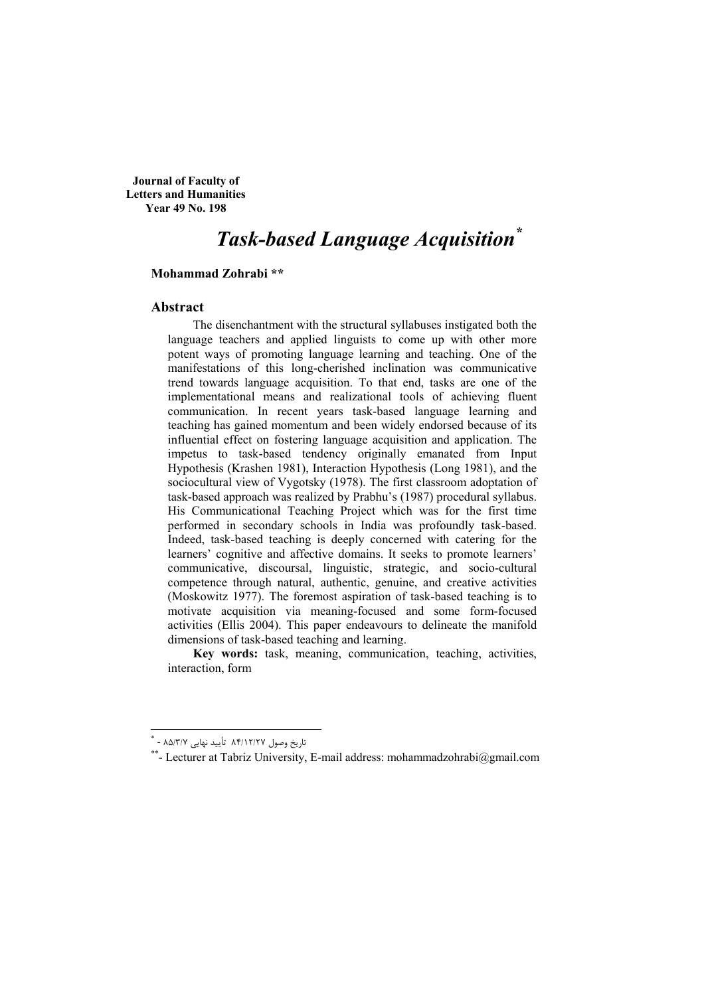**Journal of Faculty of Letters and Humanities Year 49 No. 198** 

# **Task-based Language Acquisition**\*

#### Mohammad Zohrabi \*\*

#### Abstract

The disenchantment with the structural syllabuses instigated both the language teachers and applied linguists to come up with other more potent ways of promoting language learning and teaching. One of the manifestations of this long-cherished inclination was communicative trend towards language acquisition. To that end, tasks are one of the implementational means and realizational tools of achieving fluent communication. In recent years task-based language learning and teaching has gained momentum and been widely endorsed because of its influential effect on fostering language acquisition and application. The impetus to task-based tendency originally emanated from Input Hypothesis (Krashen 1981). Interaction Hypothesis (Long 1981), and the sociocultural view of Vygotsky (1978). The first classroom adoptation of task-based approach was realized by Prabhu's (1987) procedural syllabus. His Communicational Teaching Project which was for the first time performed in secondary schools in India was profoundly task-based. Indeed, task-based teaching is deeply concerned with catering for the learners' cognitive and affective domains. It seeks to promote learners' communicative, discoursal, linguistic, strategic, and socio-cultural competence through natural, authentic, genuine, and creative activities (Moskowitz 1977). The foremost aspiration of task-based teaching is to motivate acquisition via meaning-focused and some form-focused activities (Ellis 2004). This paper endeavours to delineate the manifold dimensions of task-based teaching and learning.

Key words: task, meaning, communication, teaching, activities, interaction, form

تاريخ وصول ۸۴/۱۲/۲۷ تأييد نهايي ۸۵/۳/۷ - \*

<sup>\*\*-</sup> Lecturer at Tabriz University, E-mail address: mohammadzohrabi@gmail.com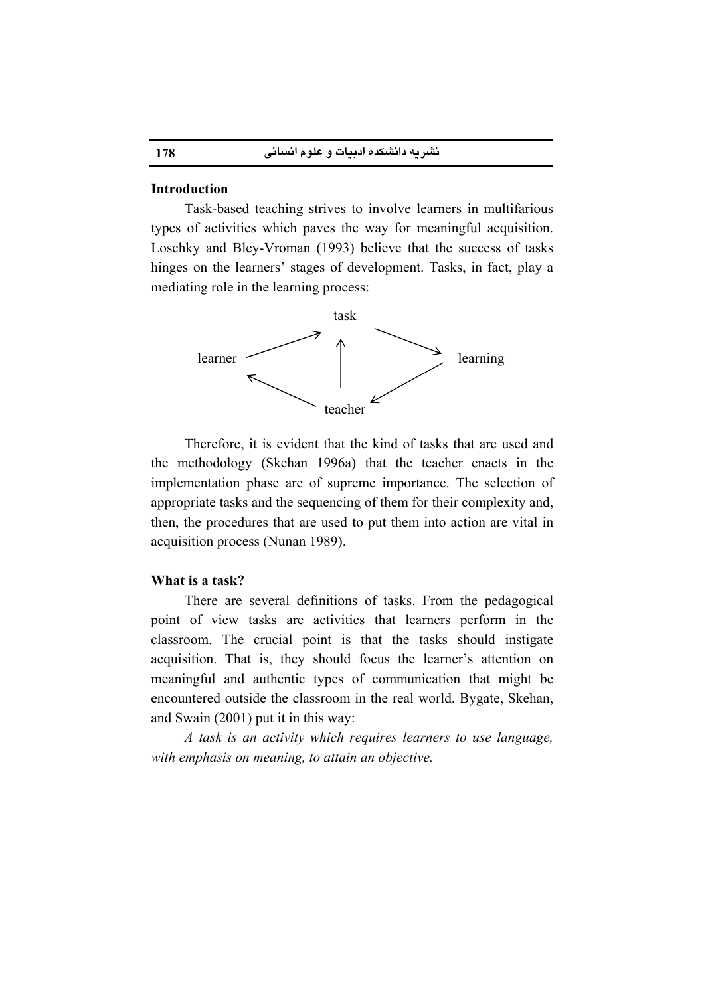#### **Introduction**

Task-based teaching strives to involve learners in multifarious types of activities which paves the way for meaningful acquisition. Loschky and Bley-Vroman (1993) believe that the success of tasks hinges on the learners' stages of development. Tasks, in fact, play a mediating role in the learning process:



Therefore, it is evident that the kind of tasks that are used and the methodology (Skehan 1996a) that the teacher enacts in the implementation phase are of supreme importance. The selection of appropriate tasks and the sequencing of them for their complexity and, then, the procedures that are used to put them into action are vital in acquisition process (Nunan 1989).

#### What is a task?

There are several definitions of tasks. From the pedagogical point of view tasks are activities that learners perform in the classroom. The crucial point is that the tasks should instigate acquisition. That is, they should focus the learner's attention on meaningful and authentic types of communication that might be encountered outside the classroom in the real world. Bygate, Skehan, and Swain (2001) put it in this way:

A task is an activity which requires learners to use language, with emphasis on meaning, to attain an objective.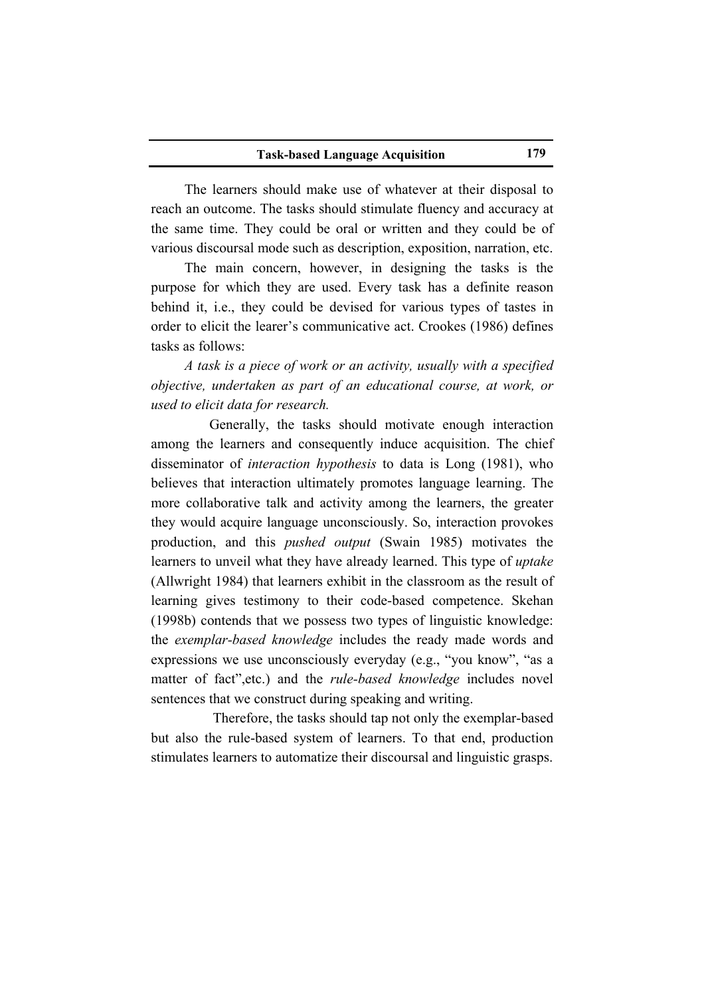#### **Task-based Language Acquisition**

The learners should make use of whatever at their disposal to reach an outcome. The tasks should stimulate fluency and accuracy at the same time. They could be oral or written and they could be of various discoursal mode such as description, exposition, narration, etc.

The main concern, however, in designing the tasks is the purpose for which they are used. Every task has a definite reason behind it, i.e., they could be devised for various types of tastes in order to elicit the learer's communicative act. Crookes (1986) defines tasks as follows:

A task is a piece of work or an activity, usually with a specified objective, undertaken as part of an educational course, at work, or used to elicit data for research.

Generally, the tasks should motivate enough interaction among the learners and consequently induce acquisition. The chief disseminator of *interaction hypothesis* to data is Long (1981), who believes that interaction ultimately promotes language learning. The more collaborative talk and activity among the learners, the greater they would acquire language unconsciously. So, interaction provokes production, and this *pushed output* (Swain 1985) motivates the learners to unveil what they have already learned. This type of *uptake* (Allwright 1984) that learners exhibit in the classroom as the result of learning gives testimony to their code-based competence. Skehan (1998b) contends that we possess two types of linguistic knowledge: the exemplar-based knowledge includes the ready made words and expressions we use unconsciously everyday (e.g., "you know", "as a matter of fact", etc.) and the *rule-based knowledge* includes novel sentences that we construct during speaking and writing.

Therefore, the tasks should tap not only the exemplar-based but also the rule-based system of learners. To that end, production stimulates learners to automatize their discoursal and linguistic grasps.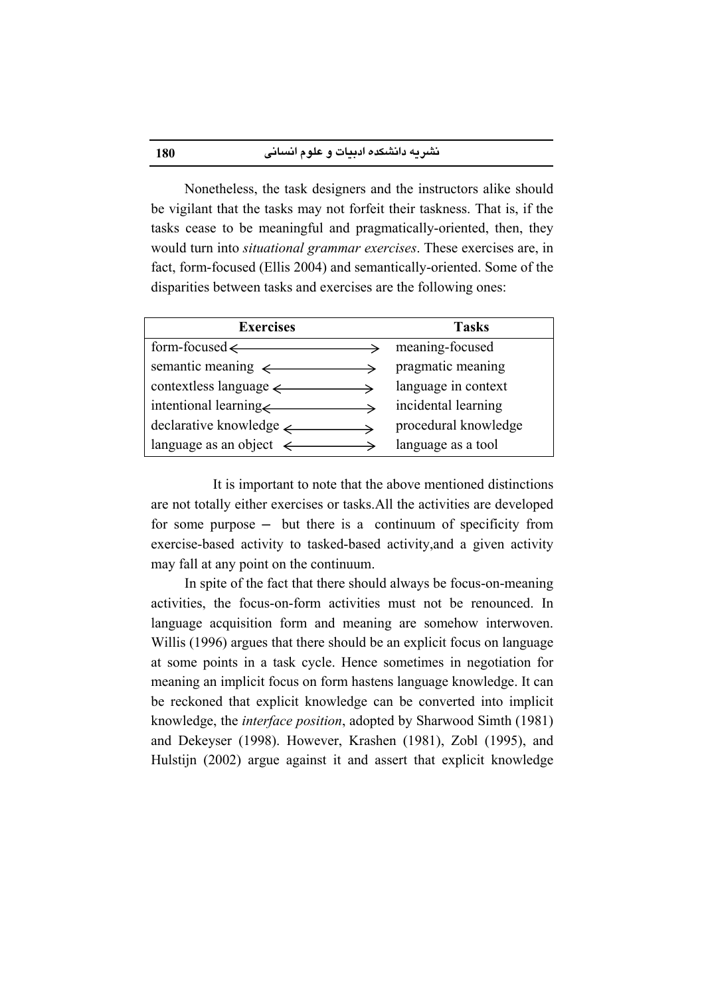Nonetheless, the task designers and the instructors alike should be vigilant that the tasks may not forfeit their taskness. That is, if the tasks cease to be meaningful and pragmatically-oriented, then, they would turn into *situational grammar exercises*. These exercises are, in fact, form-focused (Ellis 2004) and semantically-oriented. Some of the disparities between tasks and exercises are the following ones:

| <b>Exercises</b>                                               | <b>Tasks</b>         |
|----------------------------------------------------------------|----------------------|
| $form$ -focused $\leftarrow$<br>$\rightarrow$                  | meaning-focused      |
| semantic meaning $\longleftrightarrow$ pragmatic meaning       |                      |
| $contextless language \longrightarrow$                         | language in context  |
| intentional learning incidental learning                       |                      |
| $\text{ declarative knowledge} \longrightarrow$                | procedural knowledge |
| language as an object $\longleftrightarrow$ language as a tool |                      |

It is important to note that the above mentioned distinctions are not totally either exercises or tasks. All the activities are developed for some purpose  $-$  but there is a continuum of specificity from exercise-based activity to tasked-based activity, and a given activity may fall at any point on the continuum.

In spite of the fact that there should always be focus-on-meaning activities, the focus-on-form activities must not be renounced. In language acquisition form and meaning are somehow interwoven. Willis (1996) argues that there should be an explicit focus on language at some points in a task cycle. Hence sometimes in negotiation for meaning an implicit focus on form hastens language knowledge. It can be reckoned that explicit knowledge can be converted into implicit knowledge, the *interface position*, adopted by Sharwood Simth (1981) and Dekeyser (1998). However, Krashen (1981), Zobl (1995), and Hulstijn (2002) argue against it and assert that explicit knowledge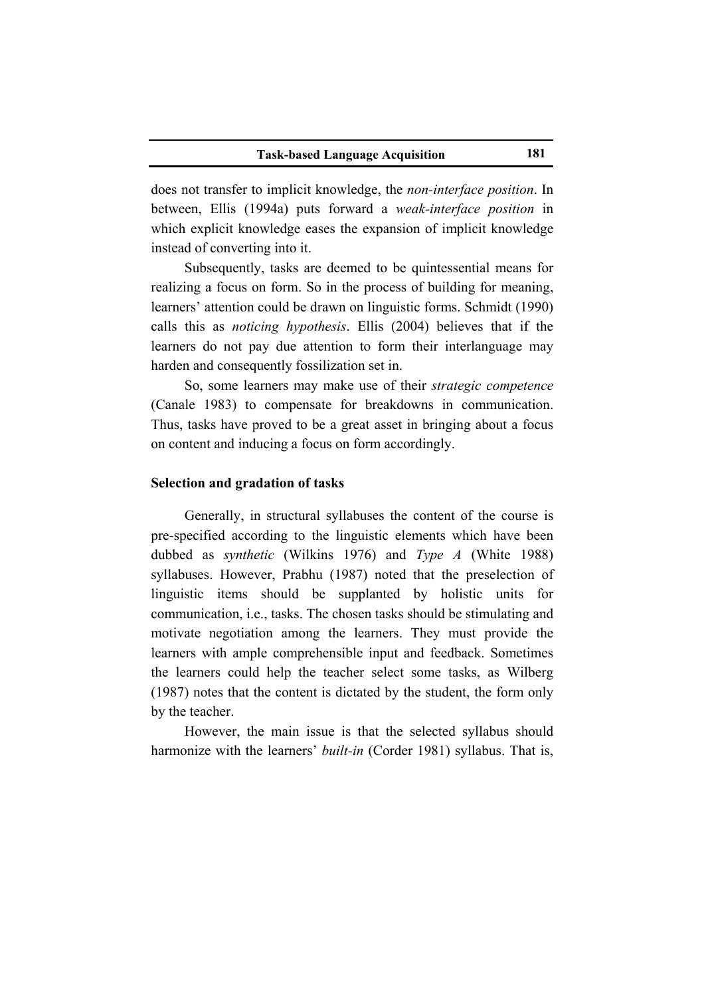does not transfer to implicit knowledge, the *non-interface position*. In between, Ellis (1994a) puts forward a weak-interface position in which explicit knowledge eases the expansion of implicit knowledge instead of converting into it.

Subsequently, tasks are deemed to be quintessential means for realizing a focus on form. So in the process of building for meaning, learners' attention could be drawn on linguistic forms. Schmidt (1990) calls this as *noticing hypothesis*. Ellis (2004) believes that if the learners do not pay due attention to form their interlanguage may harden and consequently fossilization set in.

So, some learners may make use of their *strategic competence* (Canale 1983) to compensate for breakdowns in communication. Thus, tasks have proved to be a great asset in bringing about a focus on content and inducing a focus on form accordingly.

#### Selection and gradation of tasks

Generally, in structural syllabuses the content of the course is pre-specified according to the linguistic elements which have been dubbed as *synthetic* (Wilkins 1976) and *Type A* (White 1988) syllabuses. However, Prabhu (1987) noted that the preselection of linguistic items should be supplanted by holistic units for communication, *i.e.*, tasks. The chosen tasks should be stimulating and motivate negotiation among the learners. They must provide the learners with ample comprehensible input and feedback. Sometimes the learners could help the teacher select some tasks, as Wilberg (1987) notes that the content is dictated by the student, the form only by the teacher.

However, the main issue is that the selected syllabus should harmonize with the learners' *built-in* (Corder 1981) syllabus. That is,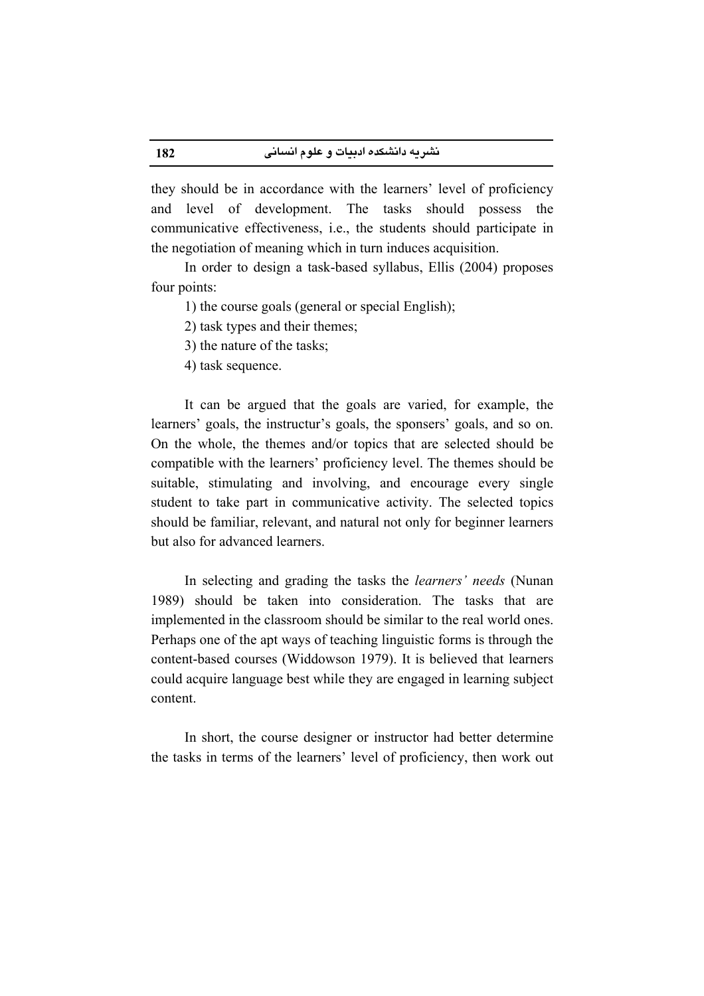they should be in accordance with the learners' level of proficiency and level of development. The tasks should possess the communicative effectiveness, i.e., the students should participate in the negotiation of meaning which in turn induces acquisition.

In order to design a task-based syllabus, Ellis (2004) proposes four points:

1) the course goals (general or special English);

2) task types and their themes;

3) the nature of the tasks:

4) task sequence.

It can be argued that the goals are varied, for example, the learners' goals, the instructur's goals, the sponsers' goals, and so on. On the whole, the themes and/or topics that are selected should be compatible with the learners' proficiency level. The themes should be suitable, stimulating and involving, and encourage every single student to take part in communicative activity. The selected topics should be familiar, relevant, and natural not only for beginner learners but also for advanced learners.

In selecting and grading the tasks the *learners' needs* (Nunan 1989) should be taken into consideration. The tasks that are implemented in the classroom should be similar to the real world ones. Perhaps one of the apt ways of teaching linguistic forms is through the content-based courses (Widdowson 1979). It is believed that learners could acquire language best while they are engaged in learning subject content

In short, the course designer or instructor had better determine the tasks in terms of the learners' level of proficiency, then work out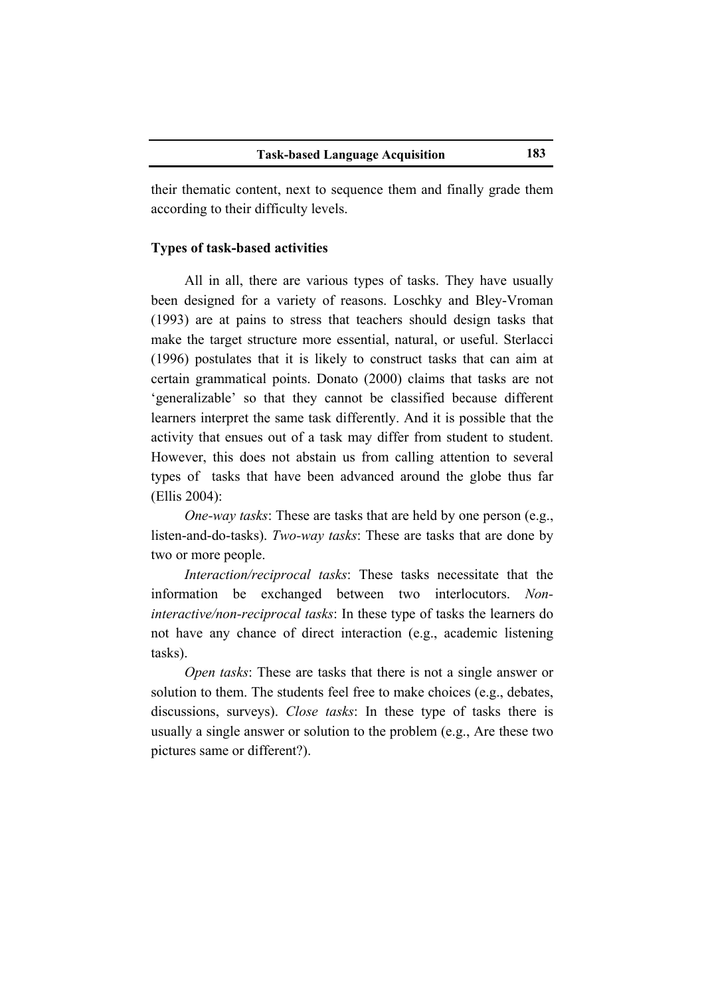their thematic content, next to sequence them and finally grade them according to their difficulty levels.

# **Types of task-based activities**

All in all, there are various types of tasks. They have usually been designed for a variety of reasons. Loschky and Bley-Vroman (1993) are at pains to stress that teachers should design tasks that make the target structure more essential, natural, or useful. Sterlacci (1996) postulates that it is likely to construct tasks that can aim at certain grammatical points. Donato (2000) claims that tasks are not 'generalizable' so that they cannot be classified because different learners interpret the same task differently. And it is possible that the activity that ensues out of a task may differ from student to student. However, this does not abstain us from calling attention to several types of tasks that have been advanced around the globe thus far (Ellis 2004):

*One-way tasks:* These are tasks that are held by one person (e.g., listen-and-do-tasks). Two-way tasks: These are tasks that are done by two or more people.

Interaction/reciprocal tasks: These tasks necessitate that the information be exchanged between two interlocutors. Non*interactive/non-reciprocal tasks:* In these type of tasks the learners do not have any chance of direct interaction (e.g., academic listening tasks).

Open tasks: These are tasks that there is not a single answer or solution to them. The students feel free to make choices (e.g., debates, discussions, surveys). Close tasks: In these type of tasks there is usually a single answer or solution to the problem (e.g., Are these two pictures same or different?).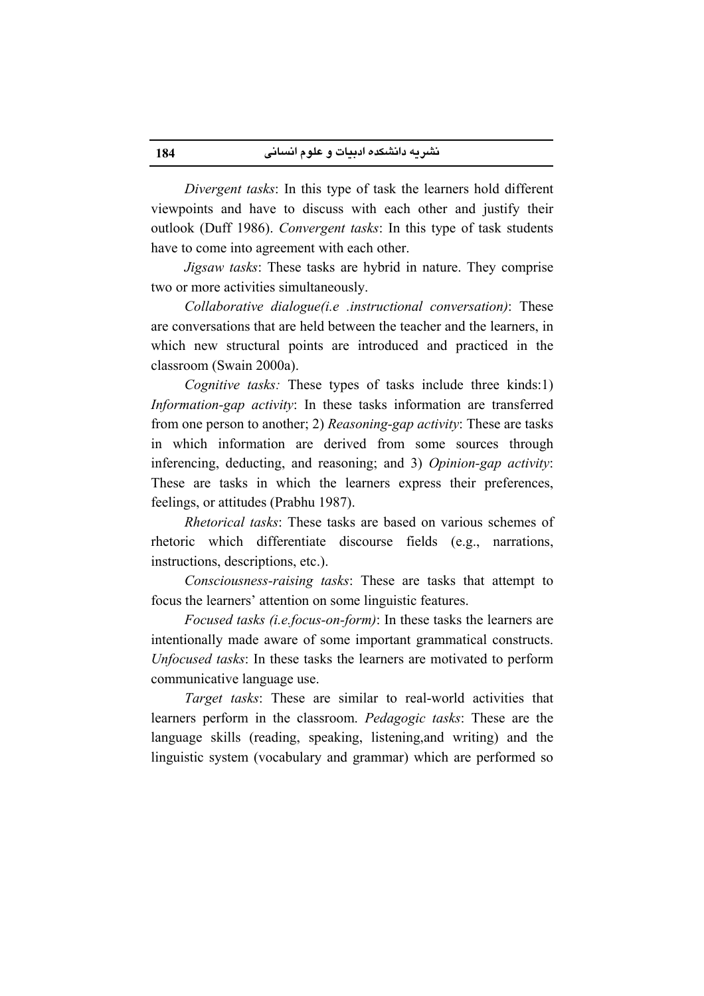Divergent tasks: In this type of task the learners hold different viewpoints and have to discuss with each other and justify their outlook (Duff 1986). Convergent tasks: In this type of task students have to come into agreement with each other.

*Jigsaw tasks:* These tasks are hybrid in nature. They comprise two or more activities simultaneously.

Collaborative dialogue(i.e .instructional conversation): These are conversations that are held between the teacher and the learners, in which new structural points are introduced and practiced in the classroom (Swain 2000a).

*Cognitive tasks:* These types of tasks include three kinds:1) Information-gap activity: In these tasks information are transferred from one person to another; 2) Reasoning-gap activity: These are tasks in which information are derived from some sources through inferencing, deducting, and reasoning; and 3) Opinion-gap activity: These are tasks in which the learners express their preferences, feelings, or attitudes (Prabhu 1987).

Rhetorical tasks: These tasks are based on various schemes of rhetoric which differentiate discourse fields (e.g., narrations, instructions, descriptions, etc.).

Consciousness-raising tasks: These are tasks that attempt to focus the learners' attention on some linguistic features.

Focused tasks (i.e.focus-on-form): In these tasks the learners are intentionally made aware of some important grammatical constructs. Unfocused tasks: In these tasks the learners are motivated to perform communicative language use.

Target tasks: These are similar to real-world activities that learners perform in the classroom. *Pedagogic tasks*: These are the language skills (reading, speaking, listening, and writing) and the linguistic system (vocabulary and grammar) which are performed so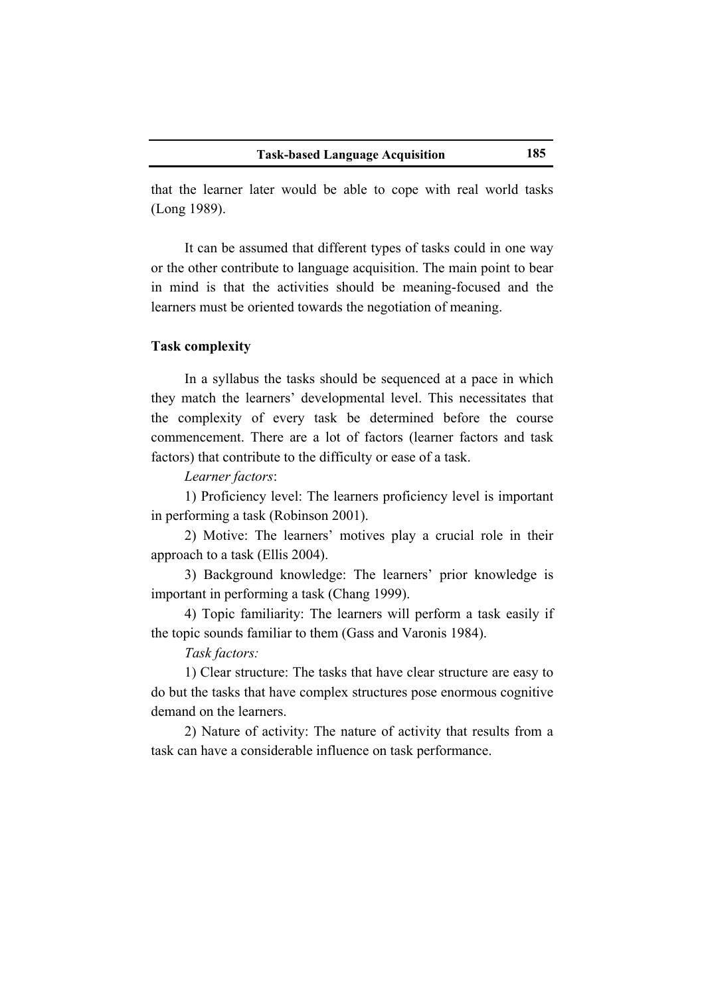that the learner later would be able to cope with real world tasks (Long 1989).

It can be assumed that different types of tasks could in one way or the other contribute to language acquisition. The main point to bear in mind is that the activities should be meaning-focused and the learners must be oriented towards the negotiation of meaning.

# **Task complexity**

In a syllabus the tasks should be sequenced at a pace in which they match the learners' developmental level. This necessitates that the complexity of every task be determined before the course commencement. There are a lot of factors (learner factors and task factors) that contribute to the difficulty or ease of a task.

Learner factors:

1) Proficiency level: The learners proficiency level is important in performing a task (Robinson 2001).

2) Motive: The learners' motives play a crucial role in their approach to a task (Ellis 2004).

3) Background knowledge: The learners' prior knowledge is important in performing a task (Chang 1999).

4) Topic familiarity: The learners will perform a task easily if the topic sounds familiar to them (Gass and Varonis 1984).

Task factors:

1) Clear structure: The tasks that have clear structure are easy to do but the tasks that have complex structures pose enormous cognitive demand on the learners.

2) Nature of activity: The nature of activity that results from a task can have a considerable influence on task performance.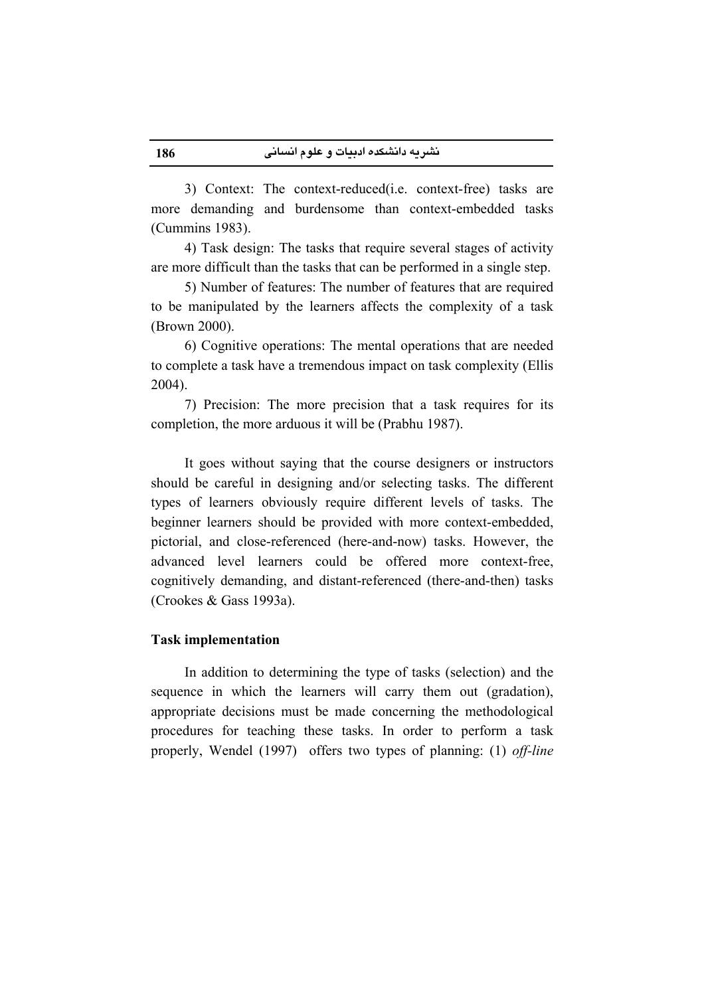3) Context: The context-reduced (i.e. context-free) tasks are more demanding and burdensome than context-embedded tasks (Cummins 1983).

4) Task design: The tasks that require several stages of activity are more difficult than the tasks that can be performed in a single step.

5) Number of features: The number of features that are required to be manipulated by the learners affects the complexity of a task (Brown 2000).

6) Cognitive operations: The mental operations that are needed to complete a task have a tremendous impact on task complexity (Ellis  $2004$ ).

7) Precision: The more precision that a task requires for its completion, the more arduous it will be (Prabhu 1987).

It goes without saying that the course designers or instructors should be careful in designing and/or selecting tasks. The different types of learners obviously require different levels of tasks. The beginner learners should be provided with more context-embedded, pictorial, and close-referenced (here-and-now) tasks. However, the advanced level learners could be offered more context-free. cognitively demanding, and distant-referenced (there-and-then) tasks (Crookes & Gass 1993a).

# **Task implementation**

186

In addition to determining the type of tasks (selection) and the sequence in which the learners will carry them out (gradation), appropriate decisions must be made concerning the methodological procedures for teaching these tasks. In order to perform a task properly, Wendel (1997) offers two types of planning: (1) off-line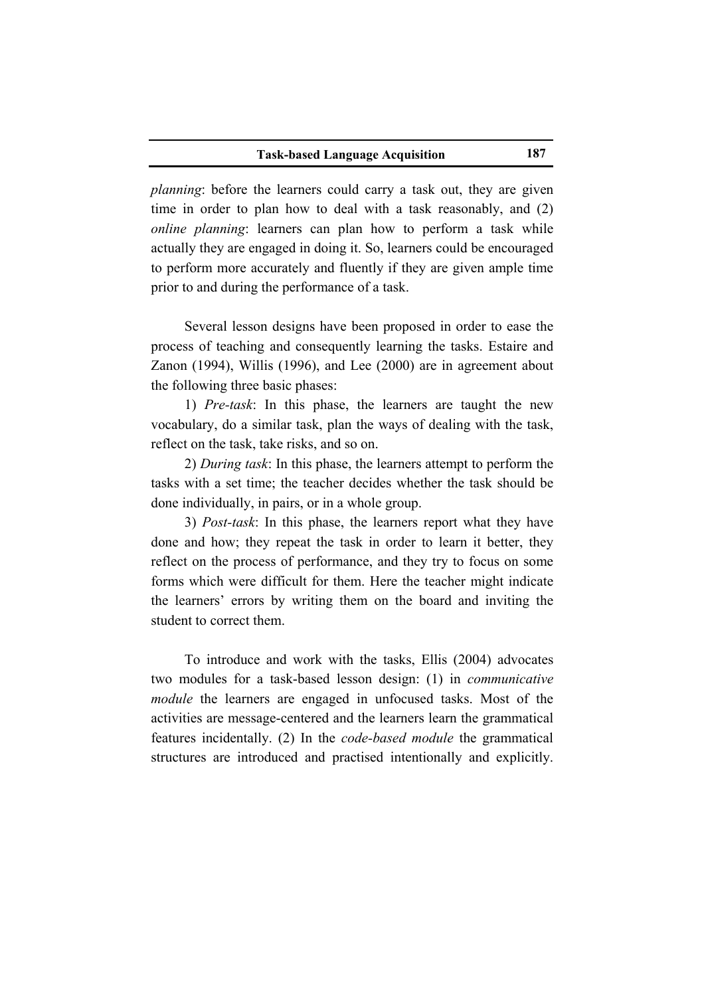*planning*: before the learners could carry a task out, they are given time in order to plan how to deal with a task reasonably, and (2) *online planning*: learners can plan how to perform a task while actually they are engaged in doing it. So, learners could be encouraged to perform more accurately and fluently if they are given ample time prior to and during the performance of a task.

Several lesson designs have been proposed in order to ease the process of teaching and consequently learning the tasks. Estaire and Zanon (1994), Willis (1996), and Lee (2000) are in agreement about the following three basic phases:

1) Pre-task: In this phase, the learners are taught the new vocabulary, do a similar task, plan the ways of dealing with the task, reflect on the task, take risks, and so on.

2) During task: In this phase, the learners attempt to perform the tasks with a set time; the teacher decides whether the task should be done individually, in pairs, or in a whole group.

3) *Post-task*: In this phase, the learners report what they have done and how; they repeat the task in order to learn it better, they reflect on the process of performance, and they try to focus on some forms which were difficult for them. Here the teacher might indicate the learners' errors by writing them on the board and inviting the student to correct them.

To introduce and work with the tasks, Ellis (2004) advocates two modules for a task-based lesson design: (1) in *communicative module* the learners are engaged in unfocused tasks. Most of the activities are message-centered and the learners learn the grammatical features incidentally. (2) In the *code-based module* the grammatical structures are introduced and practised intentionally and explicitly.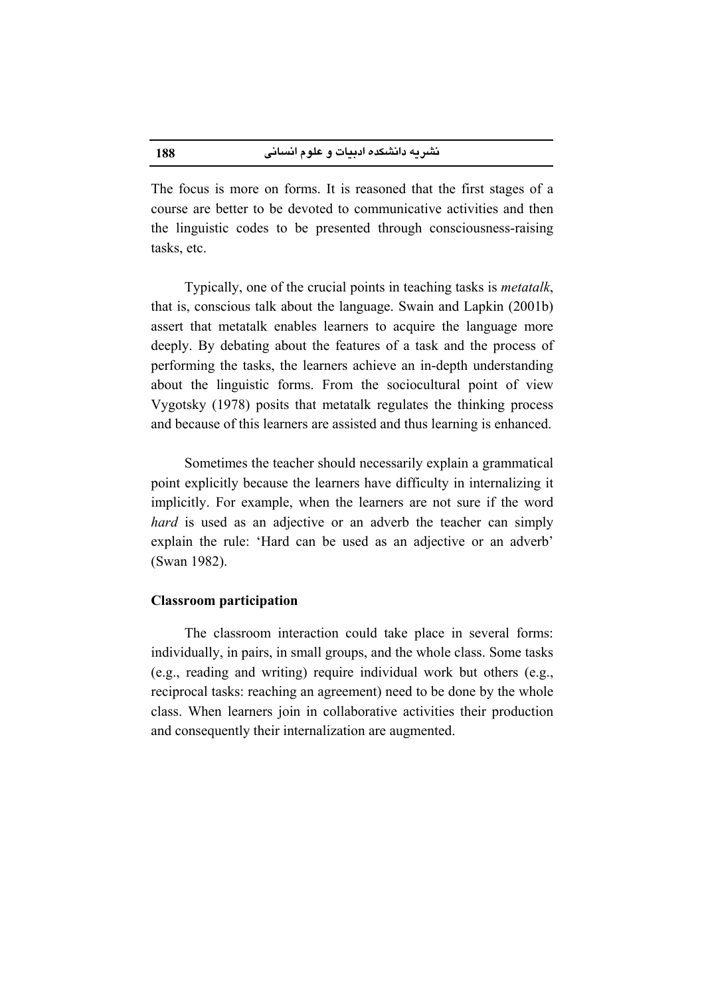The focus is more on forms. It is reasoned that the first stages of a course are better to be devoted to communicative activities and then the linguistic codes to be presented through consciousness-raising tasks, etc.

Typically, one of the crucial points in teaching tasks is *metatalk*, that is, conscious talk about the language. Swain and Lapkin (2001b) assert that metatalk enables learners to acquire the language more deeply. By debating about the features of a task and the process of performing the tasks, the learners achieve an in-depth understanding about the linguistic forms. From the sociocultural point of view Vygotsky (1978) posits that metatalk regulates the thinking process and because of this learners are assisted and thus learning is enhanced.

Sometimes the teacher should necessarily explain a grammatical point explicitly because the learners have difficulty in internalizing it implicitly. For example, when the learners are not sure if the word *hard* is used as an adjective or an adverb the teacher can simply explain the rule: 'Hard can be used as an adjective or an adverb' (Swan 1982).

#### **Classroom participation**

The classroom interaction could take place in several forms: individually, in pairs, in small groups, and the whole class. Some tasks (e.g., reading and writing) require individual work but others (e.g., reciprocal tasks: reaching an agreement) need to be done by the whole class. When learners join in collaborative activities their production and consequently their internalization are augmented.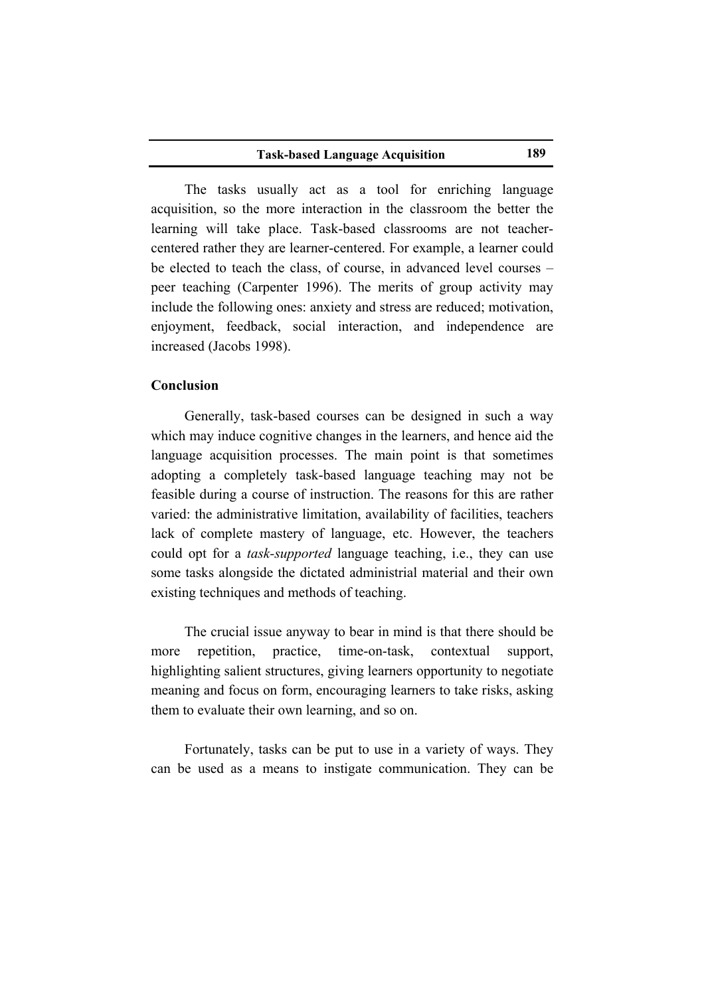The tasks usually act as a tool for enriching language acquisition, so the more interaction in the classroom the better the learning will take place. Task-based classrooms are not teachercentered rather they are learner-centered. For example, a learner could be elected to teach the class, of course, in advanced level courses – peer teaching (Carpenter 1996). The merits of group activity may include the following ones: anxiety and stress are reduced; motivation, enjoyment, feedback, social interaction, and independence are increased (Jacobs 1998).

## Conclusion

Generally, task-based courses can be designed in such a way which may induce cognitive changes in the learners, and hence aid the language acquisition processes. The main point is that sometimes adopting a completely task-based language teaching may not be feasible during a course of instruction. The reasons for this are rather varied: the administrative limitation, availability of facilities, teachers lack of complete mastery of language, etc. However, the teachers could opt for a *task-supported* language teaching, *i.e.*, they can use some tasks alongside the dictated administrial material and their own existing techniques and methods of teaching.

The crucial issue anyway to bear in mind is that there should be practice. time-on-task, more repetition. contextual support. highlighting salient structures, giving learners opportunity to negotiate meaning and focus on form, encouraging learners to take risks, asking them to evaluate their own learning, and so on.

Fortunately, tasks can be put to use in a variety of ways. They can be used as a means to instigate communication. They can be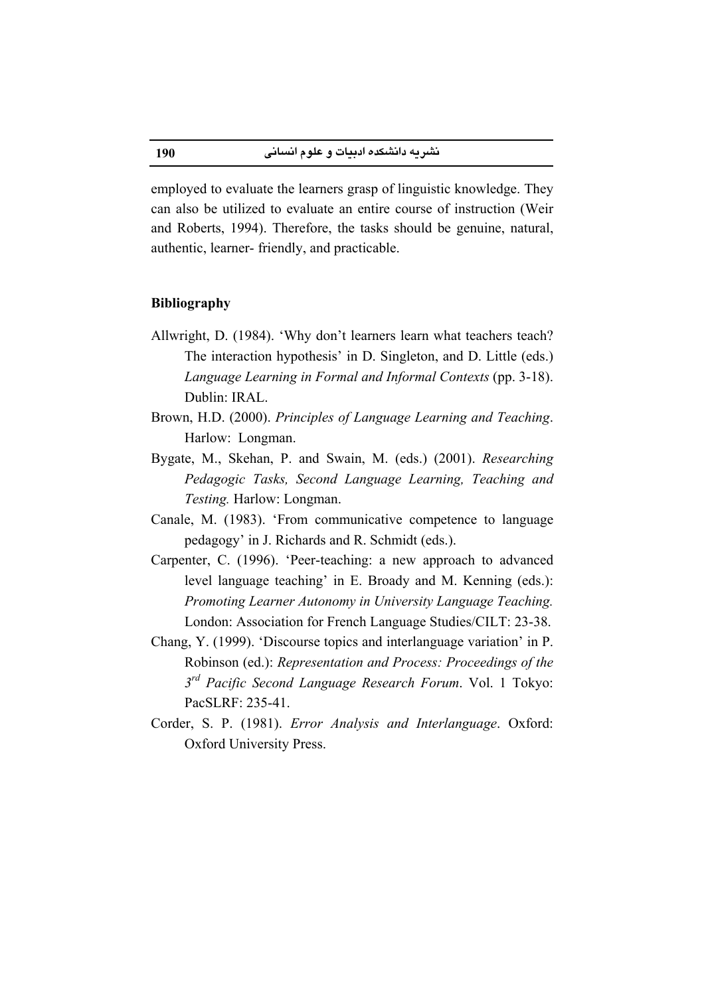employed to evaluate the learners grasp of linguistic knowledge. They can also be utilized to evaluate an entire course of instruction (Weir and Roberts, 1994). Therefore, the tasks should be genuine, natural, authentic, learner-friendly, and practicable.

## **Bibliography**

- Allwright, D. (1984). 'Why don't learners learn what teachers teach? The interaction hypothesis' in D. Singleton, and D. Little (eds.) Language Learning in Formal and Informal Contexts (pp. 3-18). Dublin: IRAL
- Brown, H.D. (2000). Principles of Language Learning and Teaching. Harlow: Longman.
- Bygate, M., Skehan, P. and Swain, M. (eds.) (2001). Researching Pedagogic Tasks, Second Language Learning, Teaching and Testing. Harlow: Longman.
- Canale, M. (1983). 'From communicative competence to language pedagogy' in J. Richards and R. Schmidt (eds.).
- Carpenter, C. (1996). 'Peer-teaching: a new approach to advanced level language teaching' in E. Broady and M. Kenning (eds.): Promoting Learner Autonomy in University Language Teaching. London: Association for French Language Studies/CILT: 23-38.
- Chang, Y. (1999). 'Discourse topics and interlanguage variation' in P. Robinson (ed.): Representation and Process: Proceedings of the 3<sup>rd</sup> Pacific Second Language Research Forum. Vol. 1 Tokyo: PacSLRF: 235-41.
- Corder, S. P. (1981). Error Analysis and Interlanguage. Oxford: Oxford University Press.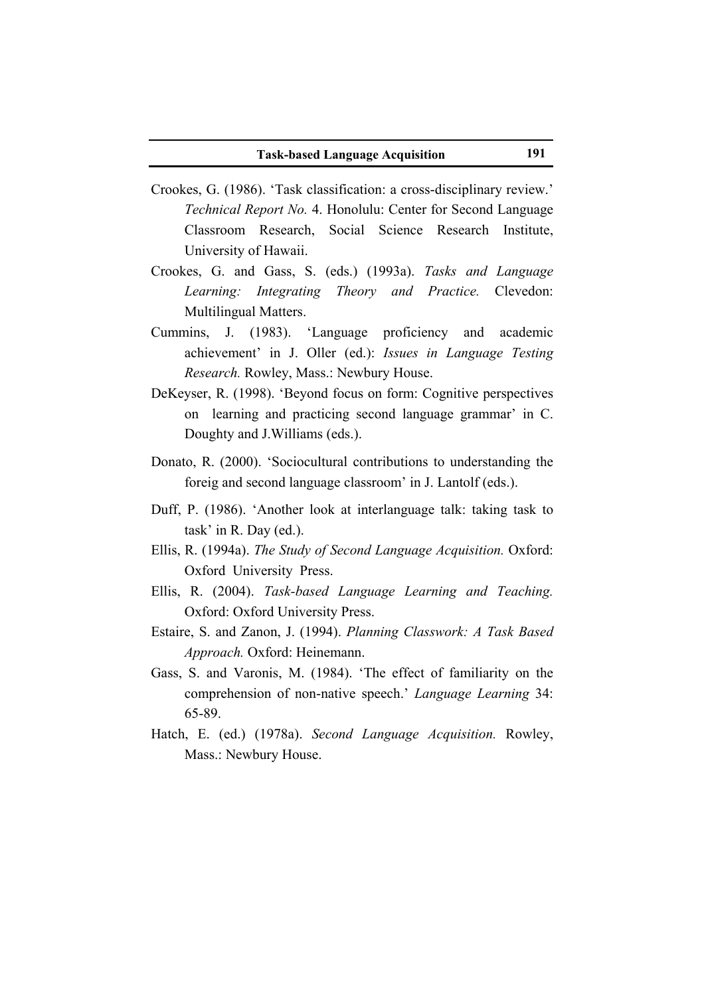- Crookes, G. (1986). 'Task classification: a cross-disciplinary review.' Technical Report No. 4. Honolulu: Center for Second Language Classroom Research, Social Science Research Institute, University of Hawaii.
- Crookes, G. and Gass, S. (eds.) (1993a). Tasks and Language Learning: Integrating Theory and Practice. Clevedon: Multilingual Matters.
- Cummins, J. (1983). 'Language proficiency and academic achievement' in J. Oller (ed.): Issues in Language Testing Research. Rowley, Mass.: Newbury House.
- DeKeyser, R. (1998). 'Beyond focus on form: Cognitive perspectives on learning and practicing second language grammar' in C. Doughty and J. Williams (eds.).
- Donato, R. (2000). 'Sociocultural contributions to understanding the foreig and second language classroom' in J. Lantolf (eds.).
- Duff, P. (1986). 'Another look at interlanguage talk: taking task to task' in R. Day (ed.).
- Ellis, R. (1994a). The Study of Second Language Acquisition. Oxford: Oxford University Press.
- Ellis, R. (2004). Task-based Language Learning and Teaching. Oxford: Oxford University Press.
- Estaire, S. and Zanon, J. (1994). Planning Classwork: A Task Based Approach. Oxford: Heinemann.
- Gass, S. and Varonis, M. (1984). 'The effect of familiarity on the comprehension of non-native speech.' Language Learning 34:  $65 - 89$
- Hatch, E. (ed.) (1978a). Second Language Acquisition. Rowley, Mass.: Newbury House.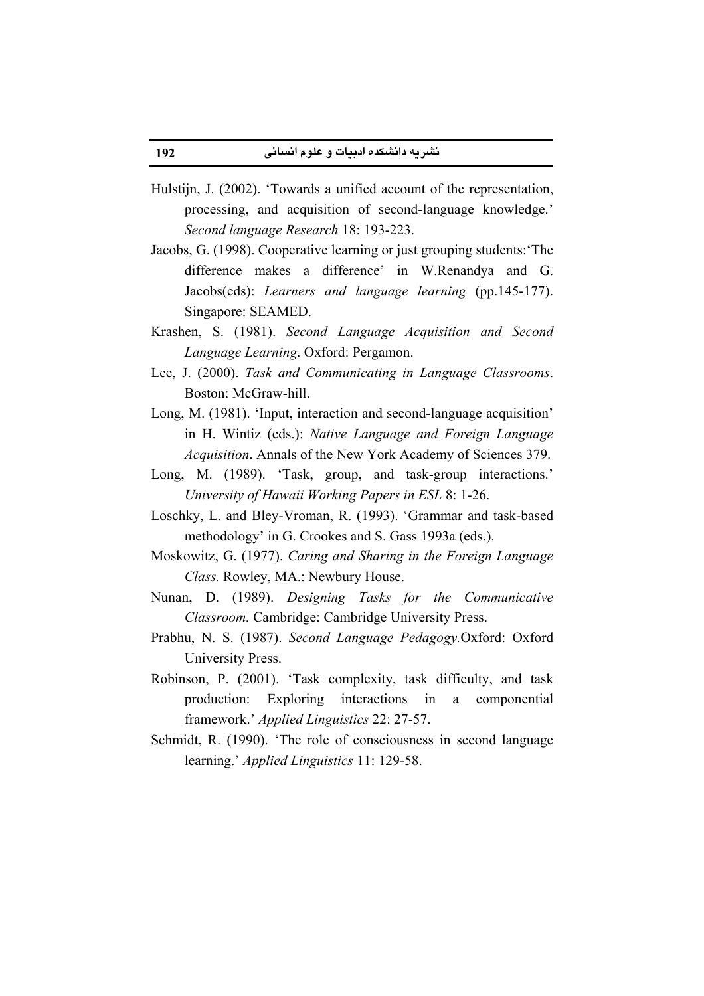- Hulstijn, J. (2002). 'Towards a unified account of the representation, processing, and acquisition of second-language knowledge.' Second language Research 18: 193-223.
- Jacobs, G. (1998). Cooperative learning or just grouping students: 'The difference makes a difference' in W.Renandya and G. Jacobs(eds): Learners and language learning (pp.145-177). Singapore: SEAMED.
- Krashen, S. (1981). Second Language Acquisition and Second Language Learning. Oxford: Pergamon.
- Lee, J. (2000). Task and Communicating in Language Classrooms. Boston: McGraw-hill.
- Long, M. (1981). 'Input, interaction and second-language acquisition' in H. Wintiz (eds.): Native Language and Foreign Language *Acquisition.* Annals of the New York Academy of Sciences 379.
- Long, M. (1989). 'Task, group, and task-group interactions.' University of Hawaii Working Papers in ESL 8: 1-26.
- Loschky, L. and Bley-Vroman, R. (1993). 'Grammar and task-based methodology' in G. Crookes and S. Gass 1993a (eds.).
- Moskowitz, G. (1977). Caring and Sharing in the Foreign Language Class. Rowley, MA.: Newbury House.
- Nunan, D. (1989). Designing Tasks for the Communicative Classroom. Cambridge: Cambridge University Press.
- Prabhu, N. S. (1987). Second Language Pedagogy.Oxford: Oxford University Press.
- Robinson, P. (2001). 'Task complexity, task difficulty, and task Exploring production: interactions in a componential framework.' Applied Linguistics 22: 27-57.
- Schmidt, R. (1990). 'The role of consciousness in second language learning.' Applied Linguistics 11: 129-58.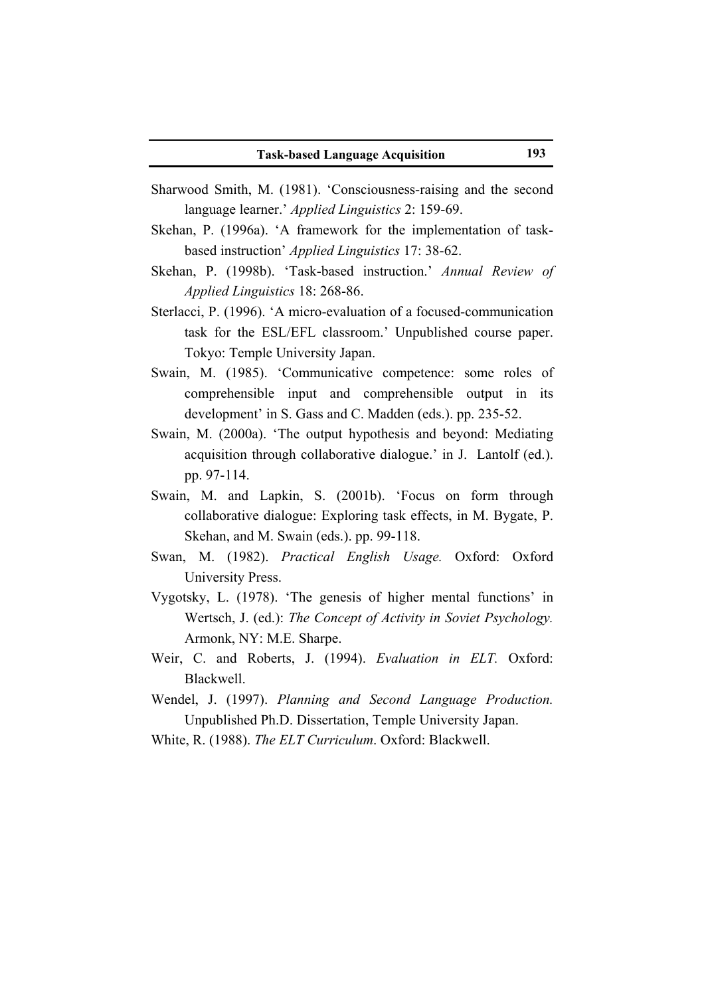- Sharwood Smith, M. (1981). 'Consciousness-raising and the second language learner.' Applied Linguistics 2: 159-69.
- Skehan, P. (1996a). 'A framework for the implementation of taskbased instruction' *Applied Linguistics* 17: 38-62.
- Skehan, P. (1998b). 'Task-based instruction.' Annual Review of Applied Linguistics 18: 268-86.
- Sterlacci, P. (1996). 'A micro-evaluation of a focused-communication task for the ESL/EFL classroom.' Unpublished course paper. Tokyo: Temple University Japan.
- Swain, M. (1985). 'Communicative competence: some roles of comprehensible input and comprehensible output in its development' in S. Gass and C. Madden (eds.). pp. 235-52.
- Swain, M. (2000a). 'The output hypothesis and beyond: Mediating acquisition through collaborative dialogue.' in J. Lantolf (ed.). pp. 97-114.
- Swain, M. and Lapkin, S. (2001b). 'Focus on form through collaborative dialogue: Exploring task effects, in M. Bygate, P. Skehan, and M. Swain (eds.). pp. 99-118.
- Swan, M. (1982). Practical English Usage. Oxford: Oxford University Press.
- Vygotsky, L. (1978). 'The genesis of higher mental functions' in Wertsch, J. (ed.): The Concept of Activity in Soviet Psychology. Armonk, NY: M.E. Sharpe.
- Weir, C. and Roberts, J. (1994). Evaluation in ELT. Oxford: Blackwell.
- Wendel, J. (1997). Planning and Second Language Production. Unpublished Ph.D. Dissertation, Temple University Japan.
- White, R. (1988). The ELT Curriculum. Oxford: Blackwell.